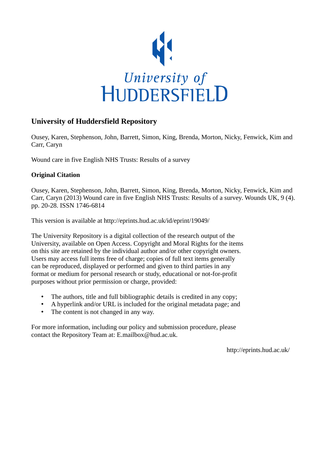

# **University of Huddersfield Repository**

Ousey, Karen, Stephenson, John, Barrett, Simon, King, Brenda, Morton, Nicky, Fenwick, Kim and Carr, Caryn

Wound care in five English NHS Trusts: Results of a survey

## **Original Citation**

Ousey, Karen, Stephenson, John, Barrett, Simon, King, Brenda, Morton, Nicky, Fenwick, Kim and Carr, Caryn (2013) Wound care in five English NHS Trusts: Results of a survey. Wounds UK, 9 (4). pp. 20-28. ISSN 1746-6814

This version is available at http://eprints.hud.ac.uk/id/eprint/19049/

The University Repository is a digital collection of the research output of the University, available on Open Access. Copyright and Moral Rights for the items on this site are retained by the individual author and/or other copyright owners. Users may access full items free of charge; copies of full text items generally can be reproduced, displayed or performed and given to third parties in any format or medium for personal research or study, educational or not-for-profit purposes without prior permission or charge, provided:

- The authors, title and full bibliographic details is credited in any copy;
- A hyperlink and/or URL is included for the original metadata page; and
- The content is not changed in any way.

For more information, including our policy and submission procedure, please contact the Repository Team at: E.mailbox@hud.ac.uk.

http://eprints.hud.ac.uk/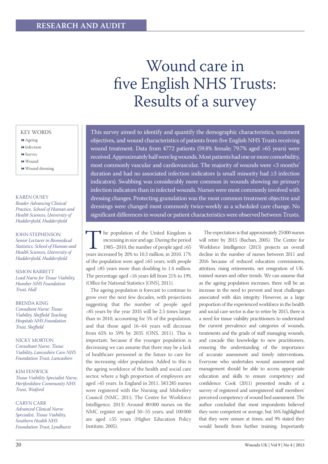# Wound care in five English NHS Trusts: Results of a survey

#### KEY WORDS

- Ageing
- $\blacktriangleright$  Infection
- **▶ Survey**
- Wound
- Wound dressing

#### Karen Ousey

*Reader Advancing Clinical Practice, School of Human and Health Sciences, University of Huddersfield, Huddersfield*

#### John Stephenson *Senior Lecturer in Biomedical Statistics, School of Human and Health Sciences, University of Huddersfield, Huddersfield*

SIMON BARRETT *Lead Nurse for Tissue Viability, Humber NHS Foundation Trust, Hull*

Brenda King *Consultant Nurse: Tissue Viability, Sheffield Teaching Hospitals NHS Foundation Trust, Sheffield*

Nicky Morton *Consultant Nurse: Tissue Viability, Lancashire Care NHS Foundation Trust, Lancashire*

Kim Fenwick

*Tissue Viability Specialist Nurse, Hertfordshire Community NHS Trust, Watford*

Caryn Carr *Advanced Clinical Nurse Specialist, Tissue Viability, Southern Health NHS Foundation Trust, Lyndhurst*

This survey aimed to identify and quantify the demographic characteristics, treatment objectives, and wound characteristics of patients from five English NHS Trusts receiving wound treatment. Data from 4772 patients (59.8% female; 79.7% aged >65 years) were received. Approximately half were leg wounds. Most patients had one or more comorbidity, most commonly vascular and cardiovascular. The majority of wounds were <3 months' duration and had no associated infection indicators (a small minority had ≥3 infection indicators). Swabbing was considerably more common in wounds showing no primary infection indicators than in infected wounds. Nurses were most commonly involved with dressing changes. Protecting granulation was the most common treatment objective and dressings were changed most commonly twice-weekly as a scheduled care change. No significant differences in wound or patient characteristics were observed between Trusts.

The population of the United Kingdom is<br>
increasing in size and age. During the period<br>
1985–2010, the number of people aged ≥65<br>
years increased by 20% to 10.3 million; in 2010, 17% increasing in size and age. During the period 1985–2010, the number of people aged ≥65 of the population were aged ≥65 years, with people aged ≥85 years more than doubling to 1.4 million. The percentage aged <16 years fell from 21% to 19% (Office for National Statistics [ONS], 2011).

The ageing population is forecast to continue to grow over the next few decades, with projections suggesting that the number of people aged >85 years by the year 2035 will be 2.5 times larger than in 2010, accounting for 5% of the population, and that those aged 16–64 years will decrease from 65% to 59% by 2035 (ONS, 2011). This is important, because if the younger population is decreasing we can assume that there may be a lack of healthcare personnel in the future to care for the increasing older population. Added to this is the ageing workforce of the health and social care sector, where a high proportion of employees are aged >45 years. In England in 2011, 583 285 nurses were registered with the Nursing and Midwifery Council (NMC, 2011; The Centre for Workforce Intelligence, 2013) Around 80 000 nurses on the NMC register are aged 50–55 years, and 100 000 are aged ≥55 years (Higher Education Policy Institute, 2005).

The expectation is that approximately 25000 nurses will retire by 2015 (Buchan, 2005). The Centre for Workforce Intelligence (2013) projects an overall decline in the number of nurses between 2011 and 2016 because of reduced education commissions, attrition, rising retirements, net emigration of UKtrained nurses and other trends. We can assume that as the ageing population increases, there will be an increase in the need to prevent and treat challenges associated with skin integrity. However, as a large proportion of the experienced workforce in the health and social care sector is due to retire by 2015, there is a need for tissue viability practitioners to understand the current prevalence and categories of wounds, treatments and the grade of staff managing wounds, and cascade this knowledge to new practitioners, ensuring the understanding of the importance of accurate assessment and timely interventions. Everyone who undertakes wound assessment and management should be able to access appropriate education and skills to ensure competency and confidence. Cook (2011) presented results of a survey of registered and unregistered staff members' perceived competency of wound bed assessment. The author concluded that most respondents believed they were competent or average, but 16% highlighted that they were unsure at times, and 9% stated they would benefit from further training. Importantly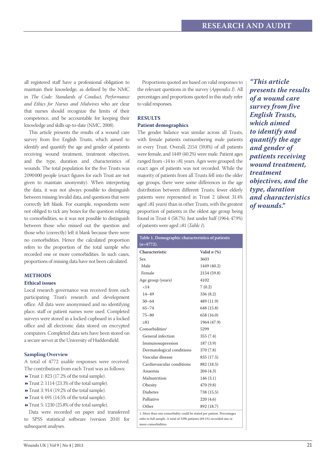all registered staff have a professional obligation to maintain their knowledge, as defined by the NMC in *The Code: Standards of Conduct, Performance and Ethics for Nurses and Midwives* who are clear that nurses should recognize the limits of their competence, and be accountable for keeping their knowledge and skills up-to-date (NMC, 2008).

This article presents the results of a wound care survey from five English Trusts, which aimed to identify and quantify the age and gender of patients receiving wound treatment, treatment objectives, and the type, duration and characteristics of wounds. The total population for the five Trusts was 2090000 people (exact figures for each Trust are not given to maintain anonymity). When interpreting the data, it was not always possible to distinguish between missing/invalid data, and questions that were correctly left blank. For example, respondents were not obliged to tick any boxes for the question relating to comorbidities, so it was not possible to distinguish between those who missed out the question and those who (correctly) left it blank because there were no comorbidities. Hence the calculated proportion refers to the proportion of the total sample who recorded one or more comorbidities. In such cases, proportions of missing data have not been calculated.

#### **Methods Ethical issues**

Local research governance was received from each participating Trust's research and development office. All data were anonymised and no identifying place, staff or patient names were used. Completed surveys were stored in a locked cupboard in a locked office and all electronic data stored on encrypted computers. Completed data sets have been stored on a secure server at the University of Huddersfield.

#### **Sampling Overview**

A total of 4772 usable responses were received. The contribution from each Trust was as follows:

- Trust 1: 823 (17.2% of the total sample).
- Trust 2: 1114 (23.3% of the total sample).
- Trust 3: 914 (19.2% of the total sample).
- Trust 4: 691 (14.5% of the total sample).
- Trust 5: 1230 (25.8% of the total sample).

Data were recorded on paper and transferred to SPSS statistical software (version 20.0) for subsequent analyses.

Proportions quoted are based on valid responses to the relevant questions in the survey (*Appendix I*). All percentages and proportions quoted in this study refer to valid responses.

### **Results Patient demographics**

The gender balance was similar across all Trusts, with female patients outnumbering male patients in every Trust. Overall, 2154 (59.8%) of all patients were female, and 1449 (40.2%) were male. Patient ages ranged from <14 to >81 years. Ages were grouped; the exact ages of patients was not recorded. While the majority of patients from all Trusts fell into the older age groups, there were some differences in the age distribution between different Trusts; fewer elderly patients were represented in Trust 2 (about 31.4% aged ≥81 years) than in other Trusts, with the greatest proportion of patients in the oldest age group being found in Trust 4 (58.7%). Just under half (1964; 47.9%) of patients were aged ≥81 (*Table 1*).

| Table 1. Demographic characteristics of patients                       |                  |  |
|------------------------------------------------------------------------|------------------|--|
| $(n=4772)$ .                                                           |                  |  |
| Characteristic                                                         | Valid $n$ $(\%)$ |  |
| Sex                                                                    | 3603             |  |
| Male                                                                   | 1449 (40.2)      |  |
| Female                                                                 | 2154 (59.8)      |  |
| Age group (years)                                                      | 4102             |  |
| ${<}14$                                                                | 7(0.2)           |  |
| $14 - 49$                                                              | 336 (8.2)        |  |
| $50 - 64$                                                              | 489 (11.9)       |  |
| $65 - 74$                                                              | 648 (15.8)       |  |
| 75-80                                                                  | 658 (16.0)       |  |
| > 81                                                                   | 1964 (47.9)      |  |
| Comorbidities <sup>1</sup>                                             | 5299             |  |
| General infection                                                      | 355 (7.4)        |  |
| Immunosupression                                                       | 187 (3.9)        |  |
| Dermatological conditions                                              | 370 (7.8)        |  |
| Vascular disease                                                       | 835 (17.5)       |  |
| Cardiovascular conditions                                              | 882 (18.5)       |  |
| Anaemia                                                                | 204 (4.3)        |  |
| Malnutrition                                                           | 146(3.1)         |  |
| Obesity                                                                | 470 (9.8)        |  |
| Diabetes                                                               | 738 (15.5)       |  |
| Palliative                                                             | 220 (4.6)        |  |
| Other                                                                  | 892 (18.7)       |  |
| 1. More than one comorbidity could be stated per patient. Percentages  |                  |  |
| refer to full sample. A total of 3296 patients (69.1%) recorded one or |                  |  |
| more comorbidities.                                                    |                  |  |

*"This article presents the results of a wound care survey from five English Trusts, which aimed to identify and quantify the age and gender of patients receiving wound treatment, treatment objectives, and the type, duration and characteristics of wounds."*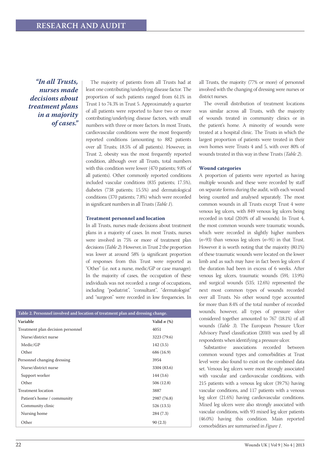*"In all Trusts, nurses made decisions about treatment plans in a majority of cases."*

The majority of patients from all Trusts had at least one contributing/underlying disease factor. The proportion of such patients ranged from 61.1% in Trust 1 to 74.3% in Trust 5. Approximately a quarter of all patients were reported to have two or more contributing/underlying disease factors, with small numbers with three or more factors. In most Trusts, cardiovascular conditions were the most frequently reported conditions (amounting to 882 patients over all Trusts; 18.5% of all patients). However, in Trust 2, obesity was the most frequently reported condition, although over all Trusts, total numbers with this condition were lower (470 patients; 9.8% of all patients). Other commonly reported conditions included vascular conditions (835 patients; 17.5%), diabetes (738 patients; 15.5%) and dermatological conditions (370 patients; 7.8%) which were recorded in significant numbers in all Trusts (*Table 1*).

#### **Treatment personnel and location**

In all Trusts, nurses made decisions about treatment plans in a majority of cases. In most Trusts, nurses were involved in 75% or more of treatment plan decisions (*Table 2*). However, in Trust 2 the proportion was lower at around 58% (a significant proportion of responses from this Trust were reported as "Other" (i.e. not a nurse, medic/GP or case manager). In the majority of cases, the occupation of these individuals was not recorded: a range of occupations, including "podiatrist", "consultant", "dermatologist" and "surgeon" were recorded in low frequencies. In

| Table 2. Personnel involved and location of treatment plan and dressing change. |                  |
|---------------------------------------------------------------------------------|------------------|
| Variable                                                                        | Valid $n$ $(\%)$ |
| Treatment plan decision personnel                                               | 4051             |
| Nurse/district nurse                                                            | 3223 (79.6)      |
| Medic/GP                                                                        | 142(3.5)         |
| Other                                                                           | 686 (16.9)       |
| Personnel changing dressing                                                     | 3954             |
| Nurse/district nurse                                                            | 3304 (83.6)      |
| Support worker                                                                  | 144(3.6)         |
| Other                                                                           | 506 (12.8)       |
| Treatment location                                                              | 3887             |
| Patient's home / community                                                      | 2987 (76.8)      |
| Community clinic                                                                | 526 (13.5)       |
| Nursing home                                                                    | 284 (7.3)        |
| Other                                                                           | 90(2.3)          |

all Trusts, the majority (77% or more) of personnel involved with the changing of dressing were nurses or district nurses.

The overall distribution of treatment locations was similar across all Trusts, with the majority of wounds treated in community clinics or in the patient's home. A minority of wounds were treated at a hospital clinic. The Trusts in which the largest proportion of patients were treated in their own homes were Trusts 4 and 5, with over 80% of wounds treated in this way in these Trusts (*Table 2*).

#### **Wound categories**

A proportion of patients were reported as having multiple wounds and these were recorded by staff on separate forms during the audit, with each wound being counted and analysed separately. The most common wounds in all Trusts except Trust 4 were venous leg ulcers, with 849 venous leg ulcers being recorded in total (20.0% of all wounds). In Trust 4, the most common wounds were traumatic wounds, which were recorded in slightly higher numbers  $(n=93)$  than venous leg ulcers  $(n=91)$  in that Trust. However it is worth noting that the majority (80.1%) of these traumatic wounds were located on the lower limb and as such may have in fact been leg ulcers if the duration had been in excess of 6 weeks. After venous leg ulcers, traumatic wounds (591; 13.9%) and surgical wounds (535; 12.6%) represented the next most common types of wounds recorded over all Trusts. No other wound type accounted for more than 8.4% of the total number of recorded wounds; however, all types of pressure ulcer considered together amounted to 767 (18.1%) of all wounds (*Table 3*). The European Pressure Ulcer Advisory Panel classification (2010) was used by all respondents when identifying a pressure ulcer.

Substantive associations recorded between common wound types and comorbidities at Trust level were also found to exist on the combined data set. Venous leg ulcers were most strongly associated with vascular and cardiovascular conditions, with 215 patients with a venous leg ulcer (39.7%) having vascular conditions, and 117 patients with a venous leg ulcer (21.6%) having cardiovascular conditions. Mixed leg ulcers were also strongly associated with vascular conditions, with 93 mixed leg ulcer patients (46.0%) having this condition. Main reported comorbidities are summarised in *Figure 1*.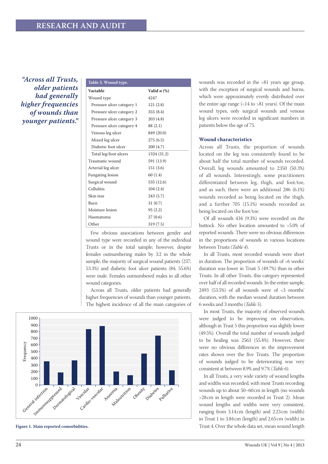*"Across all Trusts, older patients had generally higher frequencies of wounds than younger patients."*

| Table 3. Wound type.      |                  |
|---------------------------|------------------|
| Variable                  | Valid $n$ $(\%)$ |
| Wound type                | 4247             |
| Pressure ulcer category 1 | 121(2.8)         |
| Pressure ulcer category 2 | 355(8.4)         |
| Pressure ulcer category 3 | 203(4.8)         |
| Pressure ulcer category 4 | 88 (2.1)         |
| Venous leg ulcer          | 849 (20.0)       |
| Mixed leg ulcer           | 275(6.5)         |
| Diabetic foot ulcer       | 200 (4.7)        |
| Total leg/foot ulcers     | 1324 (31.2)      |
| Traumatic wound           | 591 (13.9)       |
| Arterial leg ulcer        | 151(3.6)         |
| Fungating lesion          | 60(1.4)          |
| Surgical wound            | 535 (12.6)       |
| Cellulitis                | 104(2.4)         |
| Skin tear                 | 243 (5.7)        |
| Burn                      | 31(0.7)          |
| Moisture lesion           | 95(2.2)          |
| Haematoma                 | 27(0.6)          |
| Other                     | 319 (7.5)        |
|                           |                  |

Few obvious associations between gender and wound type were recorded in any of the individual Trusts or in the total sample; however, despite females outnumbering males by 3:2 in the whole sample, the majority of surgical wound patients (237; 53.3%) and diabetic foot ulcer patients (84; 55.6%) were male. Females outnumbered males in all other wound categories.

Across all Trusts, older patients had generally higher frequencies of wounds than younger patients. The highest incidence of all the main categories of



**Figure 1. Main reported comorbidities.**

wounds was recorded in the >81 years age group, with the exception of surgical wounds and burns, which were approximately evenly distributed over the entire age range  $\left( < 14$  to  $> 81$  years). Of the main wound types, only surgical wounds and venous leg ulcers were recorded in significant numbers in patients below the age of 75.

#### **Wound characteristics**

Across all Trusts, the proportion of wounds located on the leg was consistently found to be about half the total number of wounds recorded. Overall, leg wounds amounted to 2350 (50.3%) of all wounds. Interestingly, some practitioners differentiated between leg, thigh, and foot/toe, and as such, there were an additional 286 (6.1%) wounds recorded as being located on the thigh, and a further 705 (15.1%) wounds recorded as being located on the foot/toe.

Of all wounds 434 (9.3%) were recorded on the buttock. No other location amounted to >5.0% of reported wounds. There were no obvious differences in the proportions of wounds in various locations between Trusts (*Table 4*).

In all Trusts, most recorded wounds were short in duration. The proportion of wounds of <6 weeks' duration was lower in Trust 5 (49.7%) than in other Trusts. In all other Trusts, this category represented over half of all recorded wounds. In the entire sample, 2493 (53.5%) of all wounds were of <3 months' duration, with the median wound duration between 6 weeks and 3 months (*Table 5*).

In most Trusts, the majority of observed wounds were judged to be improving on observation, although in Trust 5 this proportion was slightly lower (49.5%). Overall the total number of wounds judged to be healing was 2563 (55.4%). However, there were no obvious differences in the improvement rates shown over the five Trusts. The proportion of wounds judged to be deteriorating was very consistent at between 8.9% and 9.7% (*Table 6*).

In all Trusts, a very wide variety of wound lengths and widths was recorded, with most Trusts recording wounds up to about 50–60cm in length (no wounds >28cm in length were recorded in Trust 2). Mean wound lengths and widths were very consistent, ranging from 3.14cm (length) and 2.23cm (width) in Trust 1 to 3.84cm (length) and 2.65cm (width) in Trust 4. Over the whole data set, mean wound length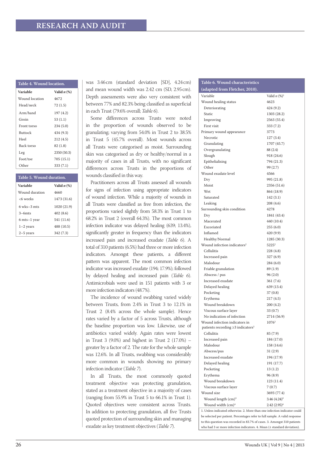| Table 4. Wound location. |                              |  |
|--------------------------|------------------------------|--|
| Variable                 | Valid $n$ $\left(\% \right)$ |  |
| Wound location           | 4672                         |  |
| Head/neck                | 72(1.5)                      |  |
| Arm/hand                 | 197 (4.2)                    |  |
| Groin                    | 53 (1.1)                     |  |
| Front torso              | 234(5.0)                     |  |
| <b>Buttock</b>           | 434 (9.3)                    |  |
| Heel                     | 212(4.5)                     |  |
| Back torso               | 82(1.8)                      |  |
| Leg                      | 2350 (50.3)                  |  |
| Foot/toe                 | 705 (15.1)                   |  |
| Other                    | 333 (7.1)                    |  |

| Table 5. Wound duration. |                              |  |
|--------------------------|------------------------------|--|
| Variable                 | Valid $n$ $\left(\% \right)$ |  |
| Wound duration           | 4660                         |  |
| <6 weeks                 | 1473 (31.6)                  |  |
| $6$ wks $-3$ mts         | 1020 (21.9)                  |  |
| $3 - 6$ mts              | 402(8.6)                     |  |
| 6 mts-1 year             | 541 (11.6)                   |  |
| $1-2$ years              | 488 (10.5)                   |  |
| $2-5$ years              | 342 (7.3)                    |  |

was 3.46cm (standard deviation [SD], 4.24cm) and mean wound width was 2.42 cm (SD, 2.95cm). Depth assessments were also very consistent with between 77% and 82.3% being classified as superficial in each Trust (79.6% overall; *Table 6*).

Some differences across Trusts were noted in the proportion of wounds observed to be granulating; varying from 54.0% in Trust 2 to 38.5% in Trust 5 (45.7% overall). Most wounds across all Trusts were categorised as moist. Surrounding skin was categorised as dry or healthy/normal in a majority of cases in all Trusts, with no significant differences across Trusts in the proportions of wounds classified in this way.

Practitioners across all Trusts assessed all wounds for signs of infection using appropriate indicators of wound infection. While a majority of wounds in all Trusts were classified as free from infection, the proportions varied slightly from 58.3% in Trust 1 to 68.2% in Trust 2 (overall 64.3%). The most common infection indicator was delayed healing (639; 13.4%), significantly greater in frequency than the indicators increased pain and increased exudate (*Table 6*). A total of 310 patients (6.5%) had three or more infection indicators. Amongst these patients, a different pattern was apparent. The most common infection indicator was increased exudate (194; 17.9%); followed by delayed healing and increased pain (*Table 6*). Antimicrobials were used in 151 patients with 3 or more infection indicators (48.7%).

The incidence of wound swabbing varied widely between Trusts, from 2.4% in Trust 3 to 12.1% in Trust 2 (8.4% across the whole sample). Hence rates varied by a factor of 5 across Trusts, although the baseline proportion was low. Likewise, use of antibiotics varied widely. Again rates were lowest in Trust 3  $(9.0\%)$  and highest in Trust 2  $(17.0\%)$  – greater by a factor of 2. The rate for the whole sample was 12.6%. In all Trusts, swabbing was considerably more common in wounds showing no primary infection indicator (*Table 7*).

In all Trusts, the most commonly quoted treatment objective was protecting granulation, stated as a treatment objective in a majority of cases (ranging from 55.9% in Trust 5 to 66.1% in Trust 1). Quoted objectives were consistent across Trusts. In addition to protecting granulation, all five Trusts quoted protection of surrounding skin and managing exudate as key treatment objectives (*Table 7*).

# **Table 6. Wound characteristics**

| (adapted from Fletcher, 2010).                                                       |                          |
|--------------------------------------------------------------------------------------|--------------------------|
| Variable                                                                             | Valid $n (%)^1$          |
| Wound healing status                                                                 | 4623                     |
| Deteriorating                                                                        | 424 (9.2)                |
| Static                                                                               | 1303 (28.2)              |
| Improving                                                                            | 2563 (55.4)              |
| First visit                                                                          | 333 (7.2)                |
| Primary wound appearance                                                             | 3773                     |
| Necrotic                                                                             | 127(3.4)                 |
| Granulating                                                                          | 1707 (45.7)              |
| Overgranulating                                                                      | 88 (2.4)                 |
| Slough                                                                               | 918 (24.6)               |
| Epithelialising                                                                      | 794 (21.3)               |
| Other                                                                                | 99 (2.7)                 |
| Wound exudate level                                                                  | 4566                     |
| Dry                                                                                  | 995 (21.8)               |
| Moist                                                                                | 2356 (51.6)              |
| Wet                                                                                  | 864 (18.9)               |
| Saturated                                                                            | 142(3.1)                 |
| Leaking                                                                              | 208 (4.6)                |
| Surrounding skin condition                                                           | 4278                     |
| Dry                                                                                  | 1841 (43.4)              |
| Macerated                                                                            | 440 (10.4)               |
| Excoriated                                                                           | 255(6.0)                 |
| Inflamed                                                                             | 420 (9.9)                |
| Healthy/Normal                                                                       | 1285 (30.3)              |
| Wound infection indicators <sup>2</sup>                                              | 5225 <sup>2</sup>        |
| Cellulitis                                                                           | 228 (4.8)                |
| Increased pain                                                                       | 327 (6.9)                |
| Malodour                                                                             | 284 (6.0)                |
| Friable granulation                                                                  | 89 (1.9)                 |
| Abscess / pus                                                                        | 96(2.0)                  |
| Increased exudate                                                                    | 361 (7.6)                |
| Delayed healing                                                                      | 639 (13.4)               |
| Pocketing                                                                            | 37(0.8)                  |
| Erythema                                                                             | 217 (4.5)                |
| Wound breakdown                                                                      | 200(4.2)                 |
| Viscous surface layer                                                                | 33(0.7)                  |
| No indication of infection                                                           | 2714 (56.9)              |
| Wound infection indicators in<br>patients recording $\geq$ 3 indicators <sup>3</sup> | $1076^3$                 |
| Cellulitis                                                                           | 85(7.9)                  |
| Increased pain                                                                       |                          |
| Malodour                                                                             | 184 (17.0)<br>158 (14.6) |
| Abscess/pus                                                                          | 31(2.9)                  |
| Increased exudate                                                                    | 194 (17.9)               |
| Delayed healing                                                                      | 191 (17.7)               |
| Pocketing                                                                            | 13(1.2)                  |
| Erythema                                                                             | 96(8.9)                  |
| Wound breakdown                                                                      | 123 (11.4)               |
| Viscous surface layer                                                                | 7(0.7)                   |
| Wound size                                                                           | 3693 (77.4)              |
| Wound length (cm) <sup>4</sup>                                                       | $3.46(4.24)^4$           |
| Wound width (cm) <sup>4</sup>                                                        | $2.42(2.95)^4$           |
| 1. Unless indicated otherwise. 2. More than one infection indicator could            |                          |
| be selected per patient. Percentages refer to full sample. A valid response          |                          |
| to this question was recorded in 83.7% of cases. 3. Amongst 310 patients             |                          |
| who had 3 or more infection indicators. 4. Mean (± standard deviation).              |                          |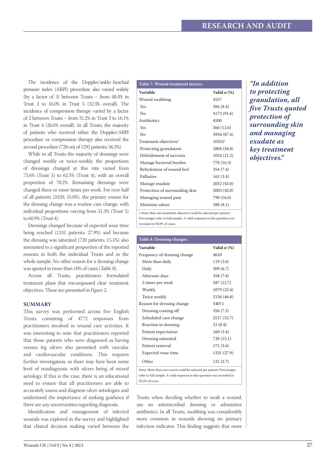The incidence of the Doppler/ankle–brachial pressure index (ABPI) procedure also varied widely (by a factor of 3) between Trusts – from 48.4% in Trust 3 to 16.0% in Trust 5 (32.3% overall). The incidence of compression therapy varied by a factor of 2 between Trusts – from 31.2% in Trust 3 to 16.1% in Trust 4 (26.6% overall). In all Trusts, the majority of patients who received either the Doppler/ABPI procedure or compression therapy also received the second procedure (728 out of 1292 patients; 56.3%).

While in all Trusts the majority of dressings were changed weekly or twice-weekly, the proportions of dressings changed at this rate varied from 75.6% (Trust 5) to 62.5% (Trust 4), with an overall proportion of 70.2%. Remaining dressings were changed three or more times per week. For over half of all patients (2420; 55.0%), the primary reason for the dressing change was a routine care change, with individual proportions varying from 51.3% (Trust 5) to 60.9% (Trust 4).

Dressings changed because of expected wear time being reached (1331 patients; 27.9%) and because the dressing was saturated (720 patients; 15.1%) also amounted to a significant proportion of the reported reasons in both the individual Trusts and in the whole sample. No other reason for a dressing change was quoted in more than 10% of cases (*Table 8*).

Across all Trusts, practitioners formulated treatment plans that encompassed clear treatment objectives. These are presented in *Figure 2*.

#### **Summary**

This survey was performed across five English Trusts consisting of 4772 responses from practitioners involved in wound care activities. It was interesting to note that practitioners reported that those patients who were diagnosed as having venous leg ulcers also presented with vascular and cardiovascular conditions. This requires further investigation, as there may have been some level of misdiagnosis with ulcers being of mixed aetiology. If this is the case, there is an educational need to ensure that all practitioners are able to accurately assess and diagnose ulcer aetiologies and understand the importance of seeking guidance if there are any uncertainties regarding diagnosis.

Identification and management of infected wounds was explored in the survey and highlighted that clinical decision making varied between the

| Table 7. Wound treatment factors.                                  |                    |
|--------------------------------------------------------------------|--------------------|
| Variable                                                           | Valid $n$ $(\%)$   |
| Wound swabbing                                                     | 4557               |
| Yes                                                                | 384 (8.4)          |
| $\overline{N}$                                                     | 4173 (91.6)        |
| Antibiotics                                                        | 4500               |
| Yes                                                                | 566 (12.6)         |
| No                                                                 | 3934 (87.4)        |
| Treatment objectives <sup>1</sup>                                  | 10355 <sup>1</sup> |
| Protecting granulation                                             | 2804 (58.8)        |
| Debridement of necrosis                                            | 1024 (21.5)        |
| Manage bacterial burden                                            | 778 (16.3)         |
| Rehydration of wound bed                                           | 354 (7.4)          |
| Palliative                                                         | 162 (3.4)          |
| Manage exudate                                                     | 2052 (43.0)        |
| Protection of surrounding skin                                     | 2003 (42.0)        |
| Managing wound pain                                                | 790 (16.6)         |
| Minimise odour                                                     | 388 (8.1)          |
| 1 More than one treatment objective could be selected per patient. |                    |

Percentages refer to full sample. A valid response to this question was recorded in 94.9% of cases.

| Table 8. Dressing changes.                                              |                  |  |
|-------------------------------------------------------------------------|------------------|--|
| Variable                                                                | Valid $n$ $(\%)$ |  |
| Frequency of dressing change                                            | 4610             |  |
| More than daily                                                         | 119(2.6)         |  |
| Daily                                                                   | 309 (6.7)        |  |
| Alternate days                                                          | 358 (7.8)        |  |
| 3 times per week                                                        | 587 (12.7)       |  |
| Weekly                                                                  | 1079 (23.4)      |  |
| Twice weekly                                                            | 2158 (46.8)      |  |
| Reason for dressing change                                              | 54071            |  |
| Dressing coming off                                                     | 356 (7.5)        |  |
| Scheduled care change                                                   | 2517 (52.7)      |  |
| Reaction to dressing                                                    | 21(0.4)          |  |
| Patient expectation                                                     | 160 (3.4)        |  |
| Dressing saturated                                                      | 720 (15.1)       |  |
| Patient removal                                                         | 171(3.6)         |  |
| Expected wear time                                                      | 1331 (27.9)      |  |
| Other                                                                   | 131 (2.7)        |  |
| Note: More than one reason could be selected per patient. Percentages   |                  |  |
| refer to full sample. A valid response to this question was recorded in |                  |  |
| 92.2% of cases.                                                         |                  |  |

Trusts when deciding whether to swab a wound, use an antimicrobial dressing or administer antibiotics. In all Trusts, swabbing was considerably more common in wounds showing no primary infection indicator. This finding suggests that more

*"In addition to protecting granulation, all five Trusts quoted protection of surrounding skin and managing exudate as key treatment objectives."*